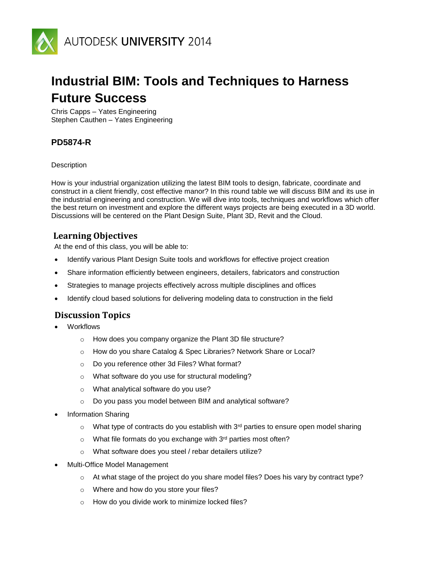

# **Industrial BIM: Tools and Techniques to Harness Future Success**

Chris Capps – Yates Engineering Stephen Cauthen – Yates Engineering

## **PD5874-R**

**Description** 

How is your industrial organization utilizing the latest BIM tools to design, fabricate, coordinate and construct in a client friendly, cost effective manor? In this round table we will discuss BIM and its use in the industrial engineering and construction. We will dive into tools, techniques and workflows which offer the best return on investment and explore the different ways projects are being executed in a 3D world. Discussions will be centered on the Plant Design Suite, Plant 3D, Revit and the Cloud.

#### **Learning Objectives**

At the end of this class, you will be able to:

- Identify various Plant Design Suite tools and workflows for effective project creation
- Share information efficiently between engineers, detailers, fabricators and construction
- Strategies to manage projects effectively across multiple disciplines and offices
- Identify cloud based solutions for delivering modeling data to construction in the field

#### **Discussion Topics**

- **Workflows** 
	- o How does you company organize the Plant 3D file structure?
	- o How do you share Catalog & Spec Libraries? Network Share or Local?
	- o Do you reference other 3d Files? What format?
	- o What software do you use for structural modeling?
	- o What analytical software do you use?
	- o Do you pass you model between BIM and analytical software?
- Information Sharing
	- $\circ$  What type of contracts do you establish with 3<sup>rd</sup> parties to ensure open model sharing
	- $\circ$  What file formats do you exchange with 3<sup>rd</sup> parties most often?
	- o What software does you steel / rebar detailers utilize?
- Multi-Office Model Management
	- o At what stage of the project do you share model files? Does his vary by contract type?
	- o Where and how do you store your files?
	- o How do you divide work to minimize locked files?